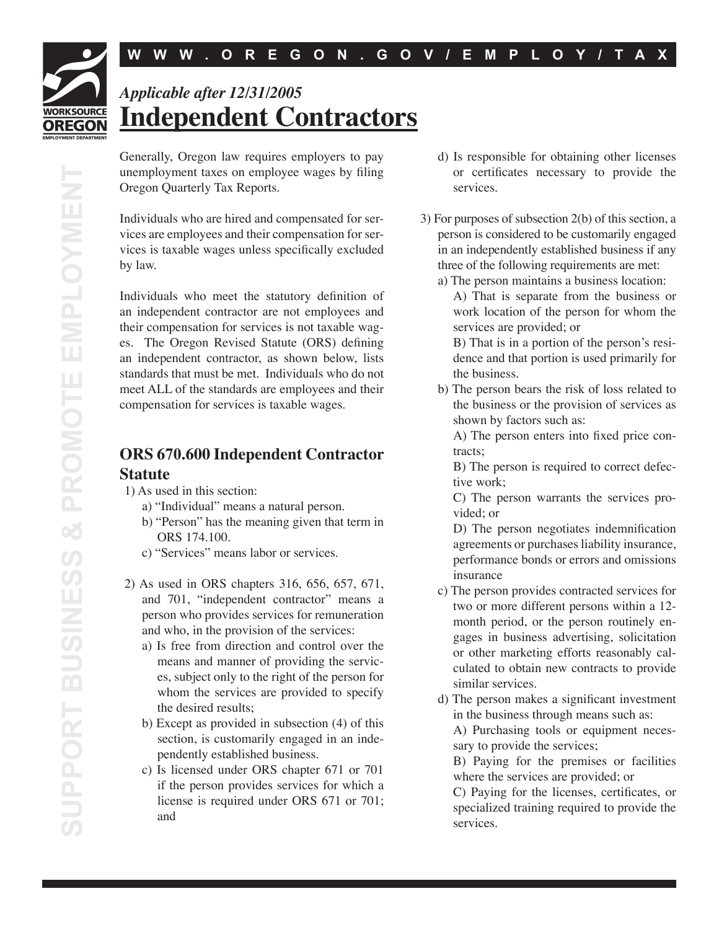## **WORKSOURCE OREGON**

*Applicable after 12/31/2005* **Independent Contractors**

Generally, Oregon law requires employers to pay unemployment taxes on employee wages by filing Oregon Quarterly Tax Reports.

Individuals who are hired and compensated for services are employees and their compensation for services is taxable wages unless specifically excluded by law.

Individuals who meet the statutory definition of an independent contractor are not employees and their compensation for services is not taxable wages. The Oregon Revised Statute (ORS) defining an independent contractor, as shown below, lists standards that must be met. Individuals who do not meet ALL of the standards are employees and their compensation for services is taxable wages.

## **ORS 670.600 Independent Contractor Statute**

- 1) As used in this section:
	- a) "Individual" means a natural person.
	- b) "Person" has the meaning given that term in ORS 174.100.
	- c) "Services" means labor or services.
- 2) As used in ORS chapters 316, 656, 657, 671, and 701, "independent contractor" means a person who provides services for remuneration and who, in the provision of the services:
	- a) Is free from direction and control over the means and manner of providing the services, subject only to the right of the person for whom the services are provided to specify the desired results;
	- b) Except as provided in subsection (4) of this section, is customarily engaged in an independently established business.
	- c) Is licensed under ORS chapter 671 or 701 if the person provides services for which a license is required under ORS 671 or 701; and
- d) Is responsible for obtaining other licenses or certificates necessary to provide the services.
- 3) For purposes of subsection 2(b) of this section, a person is considered to be customarily engaged in an independently established business if any three of the following requirements are met:
	- a) The person maintains a business location: A) That is separate from the business or work location of the person for whom the services are provided; or

 B) That is in a portion of the person's residence and that portion is used primarily for the business.

b) The person bears the risk of loss related to the business or the provision of services as shown by factors such as:

A) The person enters into fixed price contracts;

 B) The person is required to correct defective work;

 C) The person warrants the services provided; or

D) The person negotiates indemnification agreements or purchases liability insurance, performance bonds or errors and omissions insurance

- c) The person provides contracted services for two or more different persons within a 12 month period, or the person routinely engages in business advertising, solicitation or other marketing efforts reasonably calculated to obtain new contracts to provide similar services.
- d) The person makes a significant investment in the business through means such as: A) Purchasing tools or equipment necessary to provide the services;

 B) Paying for the premises or facilities where the services are provided; or

C) Paying for the licenses, certificates, or specialized training required to provide the services.